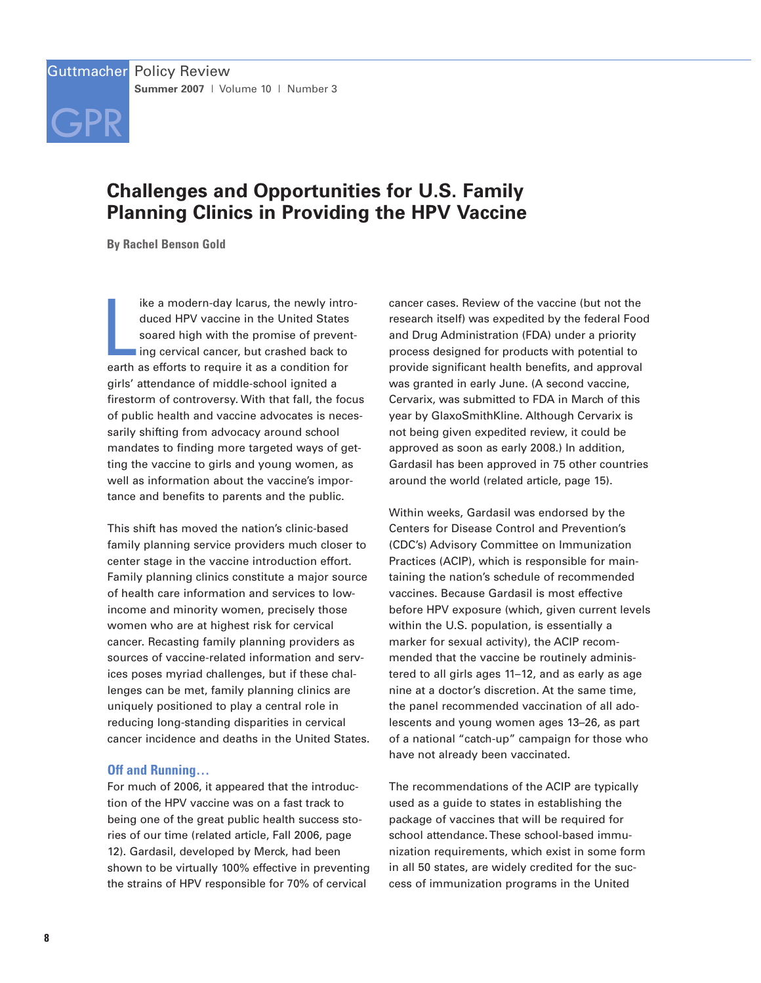

# **Challenges and Opportunities for U.S. Family Planning Clinics in Providing the HPV Vaccine**

**By Rachel Benson Gold**

ike a modern-day lcarus, the newly introduced HPV vaccine in the United States soared high with the promise of preventing cervical cancer, but crashed back to earth as efforts to require it as a condition for ike a modern-day Icarus, the newly introduced HPV vaccine in the United States soared high with the promise of preventing cervical cancer, but crashed back to girls' attendance of middle-school ignited a firestorm of controversy. With that fall, the focus of public health and vaccine advocates is necessarily shifting from advocacy around school mandates to finding more targeted ways of getting the vaccine to girls and young women, as well as information about the vaccine's importance and benefits to parents and the public.

This shift has moved the nation's clinic-based family planning service providers much closer to center stage in the vaccine introduction effort. Family planning clinics constitute a major source of health care information and services to lowincome and minority women, precisely those women who are at highest risk for cervical cancer. Recasting family planning providers as sources of vaccine-related information and services poses myriad challenges, but if these challenges can be met, family planning clinics are uniquely positioned to play a central role in reducing long-standing disparities in cervical cancer incidence and deaths in the United States.

## **Off and Running…**

For much of 2006, it appeared that the introduction of the HPV vaccine was on a fast track to being one of the great public health success stories of our time (related article, Fall 2006, page 12). Gardasil, developed by Merck, had been shown to be virtually 100% effective in preventing the strains of HPV responsible for 70% of cervical

cancer cases. Review of the vaccine (but not the research itself) was expedited by the federal Food and Drug Administration (FDA) under a priority process designed for products with potential to provide significant health benefits, and approval was granted in early June. (A second vaccine, Cervarix, was submitted to FDA in March of this year by GlaxoSmithKline. Although Cervarix is not being given expedited review, it could be approved as soon as early 2008.) In addition, Gardasil has been approved in 75 other countries around the world (related article, page 15).

Within weeks, Gardasil was endorsed by the Centers for Disease Control and Prevention's (CDC's) Advisory Committee on Immunization Practices (ACIP), which is responsible for maintaining the nation's schedule of recommended vaccines. Because Gardasil is most effective before HPV exposure (which, given current levels within the U.S. population, is essentially a marker for sexual activity), the ACIP recommended that the vaccine be routinely administered to all girls ages 11–12, and as early as age nine at a doctor's discretion. At the same time, the panel recommended vaccination of all adolescents and young women ages 13–26, as part of a national "catch-up" campaign for those who have not already been vaccinated.

The recommendations of the ACIP are typically used as a guide to states in establishing the package of vaccines that will be required for school attendance. These school-based immunization requirements, which exist in some form in all 50 states, are widely credited for the success of immunization programs in the United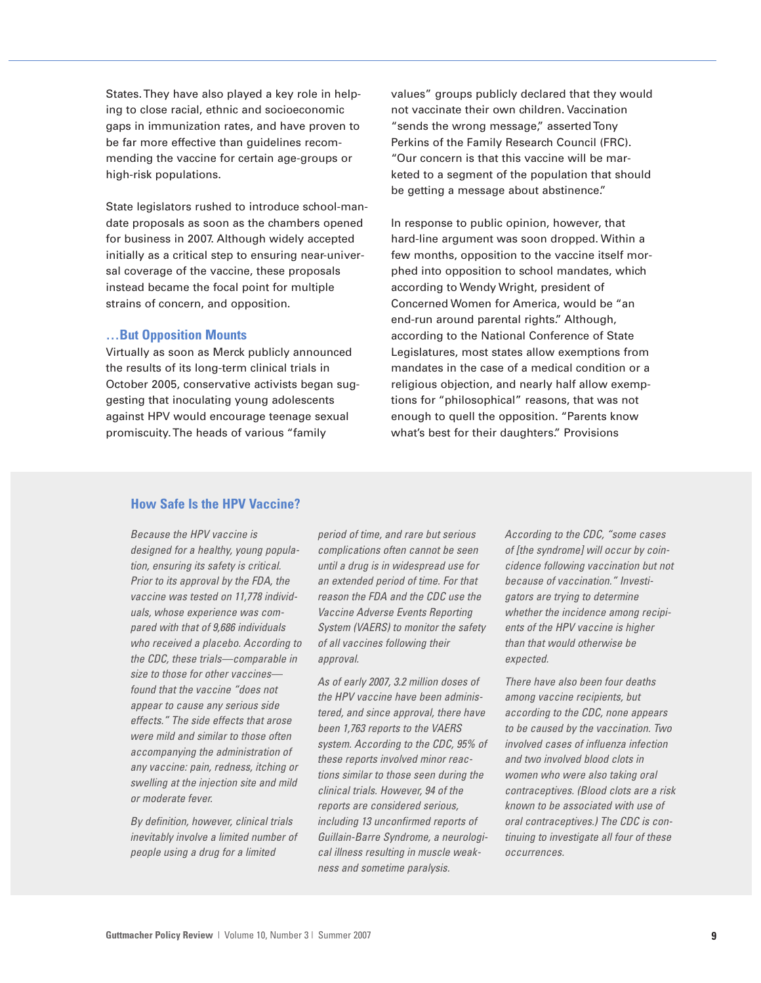States. They have also played a key role in helping to close racial, ethnic and socioeconomic gaps in immunization rates, and have proven to be far more effective than guidelines recommending the vaccine for certain age-groups or high-risk populations.

State legislators rushed to introduce school-mandate proposals as soon as the chambers opened for business in 2007. Although widely accepted initially as a critical step to ensuring near-universal coverage of the vaccine, these proposals instead became the focal point for multiple strains of concern, and opposition.

#### **…But Opposition Mounts**

Virtually as soon as Merck publicly announced the results of its long-term clinical trials in October 2005, conservative activists began suggesting that inoculating young adolescents against HPV would encourage teenage sexual promiscuity. The heads of various "family

values" groups publicly declared that they would not vaccinate their own children. Vaccination "sends the wrong message," asserted Tony Perkins of the Family Research Council (FRC). "Our concern is that this vaccine will be marketed to a segment of the population that should be getting a message about abstinence."

In response to public opinion, however, that hard-line argument was soon dropped. Within a few months, opposition to the vaccine itself morphed into opposition to school mandates, which according to Wendy Wright, president of Concerned Women for America, would be "an end-run around parental rights." Although, according to the National Conference of State Legislatures, most states allow exemptions from mandates in the case of a medical condition or a religious objection, and nearly half allow exemptions for "philosophical" reasons, that was not enough to quell the opposition. "Parents know what's best for their daughters." Provisions

## **How Safe Is the HPV Vaccine?**

Because the HPV vaccine is designed for a healthy, young population, ensuring its safety is critical. Prior to its approval by the FDA, the vaccine was tested on 11,778 individuals, whose experience was compared with that of 9,686 individuals who received a placebo. According to the CDC, these trials—comparable in size to those for other vaccines found that the vaccine "does not appear to cause any serious side effects." The side effects that arose were mild and similar to those often accompanying the administration of any vaccine: pain, redness, itching or swelling at the injection site and mild or moderate fever.

By definition, however, clinical trials inevitably involve a limited number of people using a drug for a limited

period of time, and rare but serious complications often cannot be seen until a drug is in widespread use for an extended period of time. For that reason the FDA and the CDC use the Vaccine Adverse Events Reporting System (VAERS) to monitor the safety of all vaccines following their approval.

As of early 2007, 3.2 million doses of the HPV vaccine have been administered, and since approval, there have been 1,763 reports to the VAERS system. According to the CDC, 95% of these reports involved minor reactions similar to those seen during the clinical trials. However, 94 of the reports are considered serious, including 13 unconfirmed reports of Guillain-Barre Syndrome, a neurological illness resulting in muscle weakness and sometime paralysis.

According to the CDC, "some cases of [the syndrome] will occur by coincidence following vaccination but not because of vaccination." Investigators are trying to determine whether the incidence among recipients of the HPV vaccine is higher than that would otherwise be expected.

There have also been four deaths among vaccine recipients, but according to the CDC, none appears to be caused by the vaccination. Two involved cases of influenza infection and two involved blood clots in women who were also taking oral contraceptives. (Blood clots are a risk known to be associated with use of oral contraceptives.) The CDC is continuing to investigate all four of these occurrences.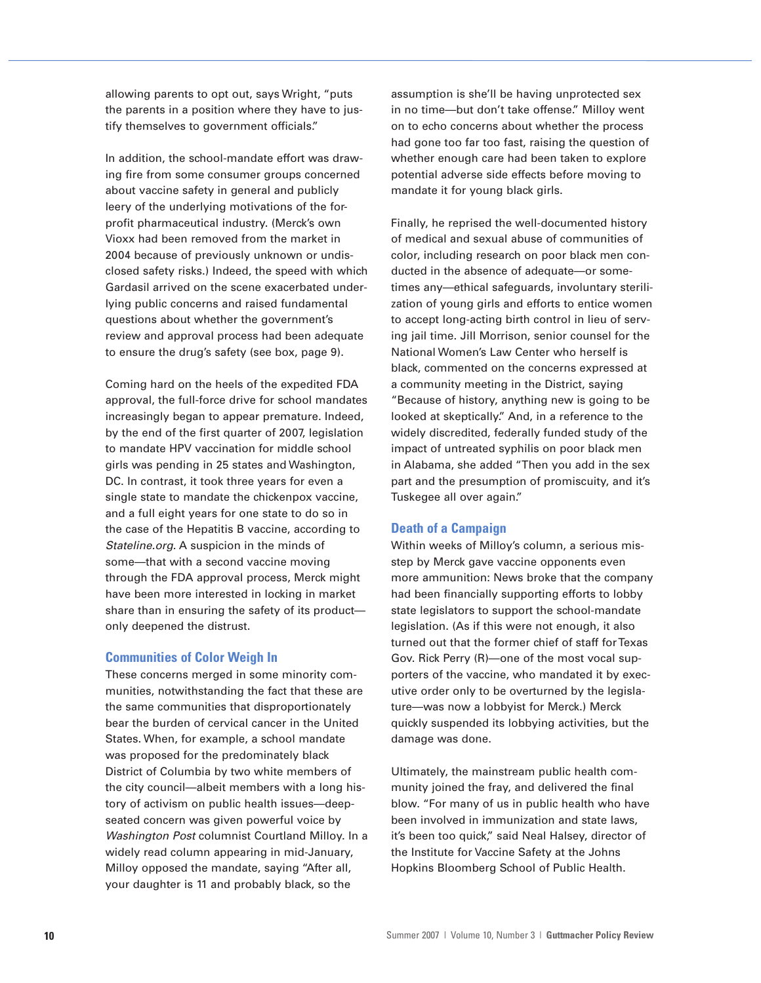allowing parents to opt out, says Wright, "puts the parents in a position where they have to justify themselves to government officials."

In addition, the school-mandate effort was drawing fire from some consumer groups concerned about vaccine safety in general and publicly leery of the underlying motivations of the forprofit pharmaceutical industry. (Merck's own Vioxx had been removed from the market in 2004 because of previously unknown or undisclosed safety risks.) Indeed, the speed with which Gardasil arrived on the scene exacerbated underlying public concerns and raised fundamental questions about whether the government's review and approval process had been adequate to ensure the drug's safety (see box, page 9).

Coming hard on the heels of the expedited FDA approval, the full-force drive for school mandates increasingly began to appear premature. Indeed, by the end of the first quarter of 2007, legislation to mandate HPV vaccination for middle school girls was pending in 25 states and Washington, DC. In contrast, it took three years for even a single state to mandate the chickenpox vaccine, and a full eight years for one state to do so in the case of the Hepatitis B vaccine, according to Stateline.org. A suspicion in the minds of some—that with a second vaccine moving through the FDA approval process, Merck might have been more interested in locking in market share than in ensuring the safety of its product only deepened the distrust.

## **Communities of Color Weigh In**

These concerns merged in some minority communities, notwithstanding the fact that these are the same communities that disproportionately bear the burden of cervical cancer in the United States. When, for example, a school mandate was proposed for the predominately black District of Columbia by two white members of the city council—albeit members with a long history of activism on public health issues—deepseated concern was given powerful voice by Washington Post columnist Courtland Milloy. In a widely read column appearing in mid-January, Milloy opposed the mandate, saying "After all, your daughter is 11 and probably black, so the

assumption is she'll be having unprotected sex in no time—but don't take offense." Milloy went on to echo concerns about whether the process had gone too far too fast, raising the question of whether enough care had been taken to explore potential adverse side effects before moving to mandate it for young black girls.

Finally, he reprised the well-documented history of medical and sexual abuse of communities of color, including research on poor black men conducted in the absence of adequate—or sometimes any—ethical safeguards, involuntary sterilization of young girls and efforts to entice women to accept long-acting birth control in lieu of serving jail time. Jill Morrison, senior counsel for the National Women's Law Center who herself is black, commented on the concerns expressed at a community meeting in the District, saying "Because of history, anything new is going to be looked at skeptically." And, in a reference to the widely discredited, federally funded study of the impact of untreated syphilis on poor black men in Alabama, she added "Then you add in the sex part and the presumption of promiscuity, and it's Tuskegee all over again."

## **Death of a Campaign**

Within weeks of Milloy's column, a serious misstep by Merck gave vaccine opponents even more ammunition: News broke that the company had been financially supporting efforts to lobby state legislators to support the school-mandate legislation. (As if this were not enough, it also turned out that the former chief of staff for Texas Gov. Rick Perry (R)—one of the most vocal supporters of the vaccine, who mandated it by executive order only to be overturned by the legislature—was now a lobbyist for Merck.) Merck quickly suspended its lobbying activities, but the damage was done.

Ultimately, the mainstream public health community joined the fray, and delivered the final blow. "For many of us in public health who have been involved in immunization and state laws, it's been too quick," said Neal Halsey, director of the Institute for Vaccine Safety at the Johns Hopkins Bloomberg School of Public Health.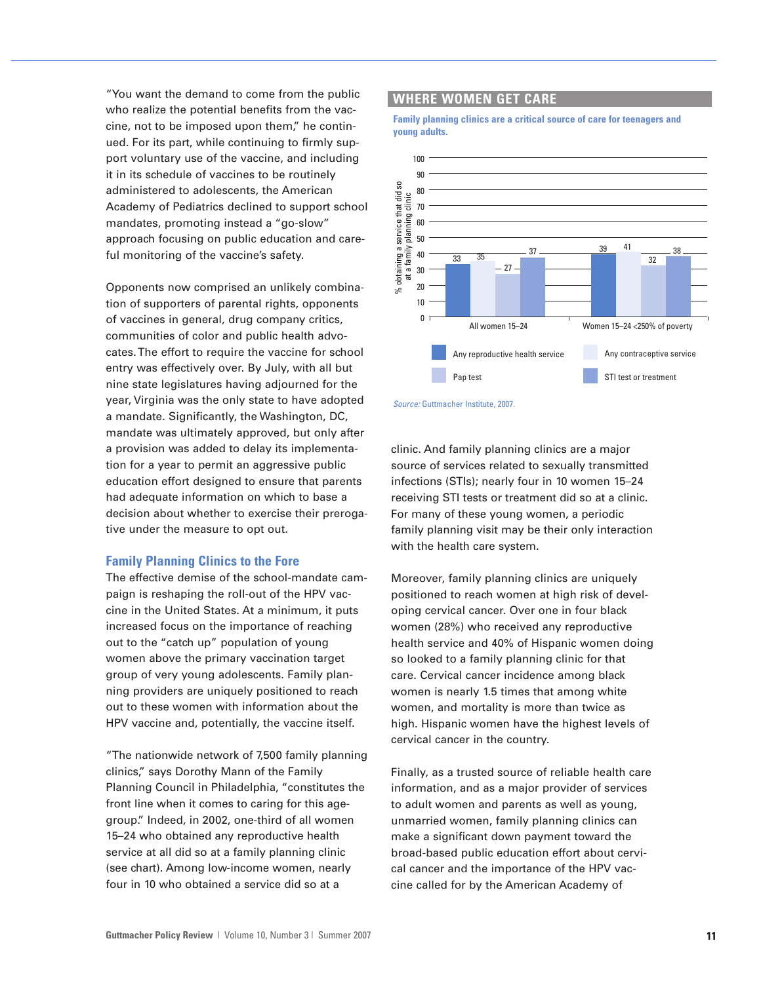"You want the demand to come from the public who realize the potential benefits from the vaccine, not to be imposed upon them," he continued. For its part, while continuing to firmly support voluntary use of the vaccine, and including it in its schedule of vaccines to be routinely administered to adolescents, the American Academy of Pediatrics declined to support school mandates, promoting instead a "go-slow" approach focusing on public education and careful monitoring of the vaccine's safety.

Opponents now comprised an unlikely combination of supporters of parental rights, opponents of vaccines in general, drug company critics, communities of color and public health advocates. The effort to require the vaccine for school entry was effectively over. By July, with all but nine state legislatures having adjourned for the year, Virginia was the only state to have adopted a mandate. Significantly, the Washington, DC, mandate was ultimately approved, but only after a provision was added to delay its implementation for a year to permit an aggressive public education effort designed to ensure that parents had adequate information on which to base a decision about whether to exercise their prerogative under the measure to opt out.

#### **Family Planning Clinics to the Fore**

The effective demise of the school-mandate campaign is reshaping the roll-out of the HPV vaccine in the United States. At a minimum, it puts increased focus on the importance of reaching out to the "catch up" population of young women above the primary vaccination target group of very young adolescents. Family planning providers are uniquely positioned to reach out to these women with information about the HPV vaccine and, potentially, the vaccine itself.

"The nationwide network of 7,500 family planning clinics," says Dorothy Mann of the Family Planning Council in Philadelphia, "constitutes the front line when it comes to caring for this agegroup." Indeed, in 2002, one-third of all women 15–24 who obtained any reproductive health service at all did so at a family planning clinic (see chart). Among low-income women, nearly four in 10 who obtained a service did so at a

### **WHERE WOMEN GET CARE**

**Family planning clinics are a critical source of care for teenagers and young adults.**



Source: Guttmacher Institute, 2007.

clinic. And family planning clinics are a major source of services related to sexually transmitted infections (STIs); nearly four in 10 women 15–24 receiving STI tests or treatment did so at a clinic. For many of these young women, a periodic family planning visit may be their only interaction with the health care system.

Moreover, family planning clinics are uniquely positioned to reach women at high risk of developing cervical cancer. Over one in four black women (28%) who received any reproductive health service and 40% of Hispanic women doing so looked to a family planning clinic for that care. Cervical cancer incidence among black women is nearly 1.5 times that among white women, and mortality is more than twice as high. Hispanic women have the highest levels of cervical cancer in the country.

Finally, as a trusted source of reliable health care information, and as a major provider of services to adult women and parents as well as young, unmarried women, family planning clinics can make a significant down payment toward the broad-based public education effort about cervical cancer and the importance of the HPV vaccine called for by the American Academy of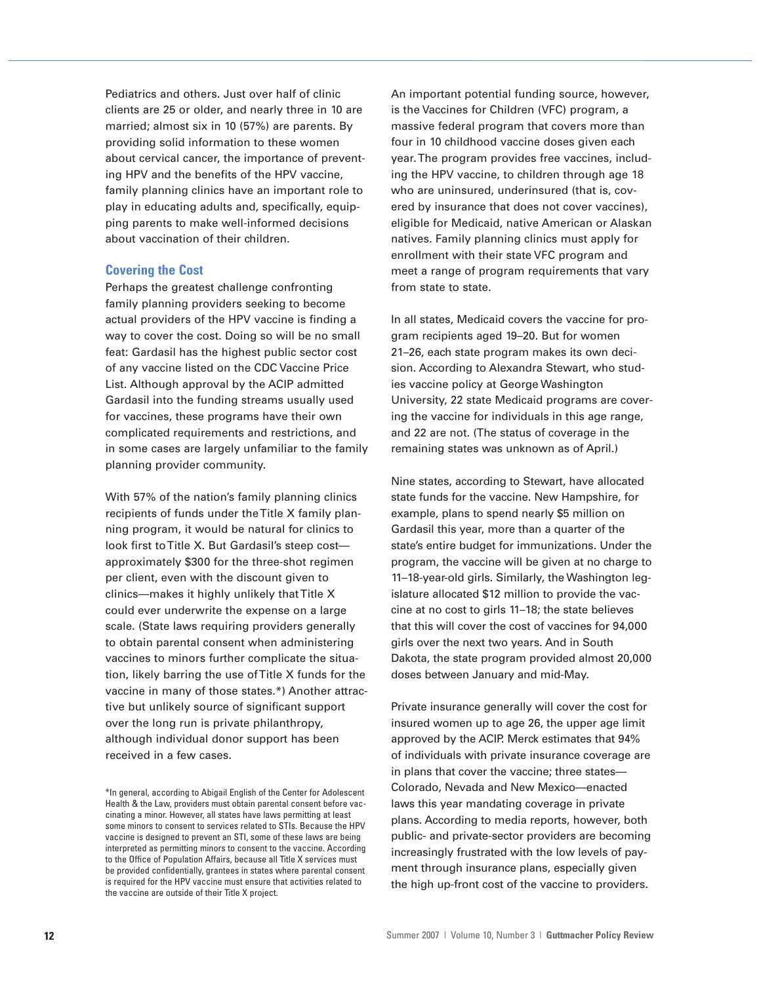Pediatrics and others. Just over half of clinic clients are 25 or older, and nearly three in 10 are married; almost six in 10 (57%) are parents. By providing solid information to these women about cervical cancer, the importance of preventing HPV and the benefits of the HPV vaccine, family planning clinics have an important role to play in educating adults and, specifically, equipping parents to make well-informed decisions about vaccination of their children.

#### **Covering the Cost**

Perhaps the greatest challenge confronting family planning providers seeking to become actual providers of the HPV vaccine is finding a way to cover the cost. Doing so will be no small feat: Gardasil has the highest public sector cost of any vaccine listed on the CDC Vaccine Price List. Although approval by the ACIP admitted Gardasil into the funding streams usually used for vaccines, these programs have their own complicated requirements and restrictions, and in some cases are largely unfamiliar to the family planning provider community.

With 57% of the nation's family planning clinics recipients of funds under the Title X family planning program, it would be natural for clinics to look first to Title X. But Gardasil's steep cost approximately \$300 for the three-shot regimen per client, even with the discount given to clinics—makes it highly unlikely that Title X could ever underwrite the expense on a large scale. (State laws requiring providers generally to obtain parental consent when administering vaccines to minors further complicate the situation, likely barring the use of Title X funds for the vaccine in many of those states.\*) Another attractive but unlikely source of significant support over the long run is private philanthropy, although individual donor support has been received in a few cases.

An important potential funding source, however, is the Vaccines for Children (VFC) program, a massive federal program that covers more than four in 10 childhood vaccine doses given each year. The program provides free vaccines, including the HPV vaccine, to children through age 18 who are uninsured, underinsured (that is, covered by insurance that does not cover vaccines), eligible for Medicaid, native American or Alaskan natives. Family planning clinics must apply for enrollment with their state VFC program and meet a range of program requirements that vary from state to state.

In all states, Medicaid covers the vaccine for program recipients aged 19–20. But for women 21–26, each state program makes its own decision. According to Alexandra Stewart, who studies vaccine policy at George Washington University, 22 state Medicaid programs are covering the vaccine for individuals in this age range, and 22 are not. (The status of coverage in the remaining states was unknown as of April.)

Nine states, according to Stewart, have allocated state funds for the vaccine. New Hampshire, for example, plans to spend nearly \$5 million on Gardasil this year, more than a quarter of the state's entire budget for immunizations. Under the program, the vaccine will be given at no charge to 11–18-year-old girls. Similarly, the Washington legislature allocated \$12 million to provide the vaccine at no cost to girls 11–18; the state believes that this will cover the cost of vaccines for 94,000 girls over the next two years. And in South Dakota, the state program provided almost 20,000 doses between January and mid-May.

Private insurance generally will cover the cost for insured women up to age 26, the upper age limit approved by the ACIP. Merck estimates that 94% of individuals with private insurance coverage are in plans that cover the vaccine; three states— Colorado, Nevada and New Mexico—enacted laws this year mandating coverage in private plans. According to media reports, however, both public- and private-sector providers are becoming increasingly frustrated with the low levels of payment through insurance plans, especially given the high up-front cost of the vaccine to providers.

<sup>\*</sup>In general, according to Abigail English of the Center for Adolescent Health & the Law, providers must obtain parental consent before vaccinating a minor. However, all states have laws permitting at least some minors to consent to services related to STIs. Because the HPV vaccine is designed to prevent an STI, some of these laws are being interpreted as permitting minors to consent to the vaccine. According to the Office of Population Affairs, because all Title X services must be provided confidentially, grantees in states where parental consent is required for the HPV vaccine must ensure that activities related to the vaccine are outside of their Title X project.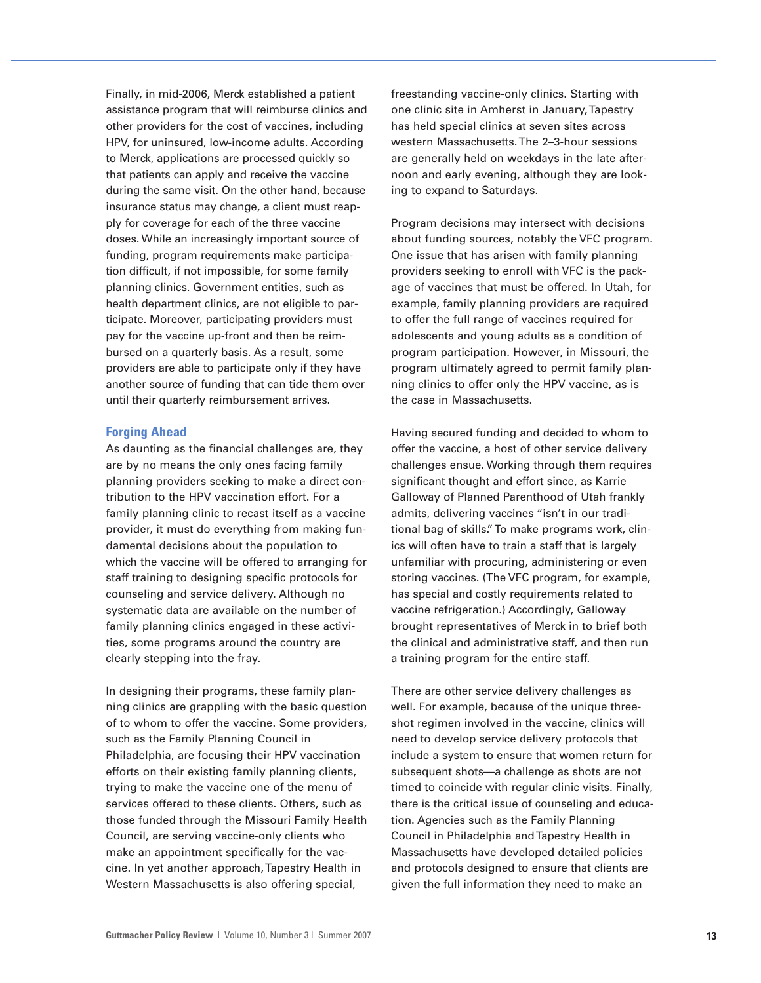Finally, in mid-2006, Merck established a patient assistance program that will reimburse clinics and other providers for the cost of vaccines, including HPV, for uninsured, low-income adults. According to Merck, applications are processed quickly so that patients can apply and receive the vaccine during the same visit. On the other hand, because insurance status may change, a client must reapply for coverage for each of the three vaccine doses. While an increasingly important source of funding, program requirements make participation difficult, if not impossible, for some family planning clinics. Government entities, such as health department clinics, are not eligible to participate. Moreover, participating providers must pay for the vaccine up-front and then be reimbursed on a quarterly basis. As a result, some providers are able to participate only if they have another source of funding that can tide them over until their quarterly reimbursement arrives.

#### **Forging Ahead**

As daunting as the financial challenges are, they are by no means the only ones facing family planning providers seeking to make a direct contribution to the HPV vaccination effort. For a family planning clinic to recast itself as a vaccine provider, it must do everything from making fundamental decisions about the population to which the vaccine will be offered to arranging for staff training to designing specific protocols for counseling and service delivery. Although no systematic data are available on the number of family planning clinics engaged in these activities, some programs around the country are clearly stepping into the fray.

In designing their programs, these family planning clinics are grappling with the basic question of to whom to offer the vaccine. Some providers, such as the Family Planning Council in Philadelphia, are focusing their HPV vaccination efforts on their existing family planning clients, trying to make the vaccine one of the menu of services offered to these clients. Others, such as those funded through the Missouri Family Health Council, are serving vaccine-only clients who make an appointment specifically for the vaccine. In yet another approach, Tapestry Health in Western Massachusetts is also offering special,

freestanding vaccine-only clinics. Starting with one clinic site in Amherst in January, Tapestry has held special clinics at seven sites across western Massachusetts. The 2–3-hour sessions are generally held on weekdays in the late afternoon and early evening, although they are looking to expand to Saturdays.

Program decisions may intersect with decisions about funding sources, notably the VFC program. One issue that has arisen with family planning providers seeking to enroll with VFC is the package of vaccines that must be offered. In Utah, for example, family planning providers are required to offer the full range of vaccines required for adolescents and young adults as a condition of program participation. However, in Missouri, the program ultimately agreed to permit family planning clinics to offer only the HPV vaccine, as is the case in Massachusetts.

Having secured funding and decided to whom to offer the vaccine, a host of other service delivery challenges ensue. Working through them requires significant thought and effort since, as Karrie Galloway of Planned Parenthood of Utah frankly admits, delivering vaccines "isn't in our traditional bag of skills." To make programs work, clinics will often have to train a staff that is largely unfamiliar with procuring, administering or even storing vaccines. (The VFC program, for example, has special and costly requirements related to vaccine refrigeration.) Accordingly, Galloway brought representatives of Merck in to brief both the clinical and administrative staff, and then run a training program for the entire staff.

There are other service delivery challenges as well. For example, because of the unique threeshot regimen involved in the vaccine, clinics will need to develop service delivery protocols that include a system to ensure that women return for subsequent shots—a challenge as shots are not timed to coincide with regular clinic visits. Finally, there is the critical issue of counseling and education. Agencies such as the Family Planning Council in Philadelphia and Tapestry Health in Massachusetts have developed detailed policies and protocols designed to ensure that clients are given the full information they need to make an